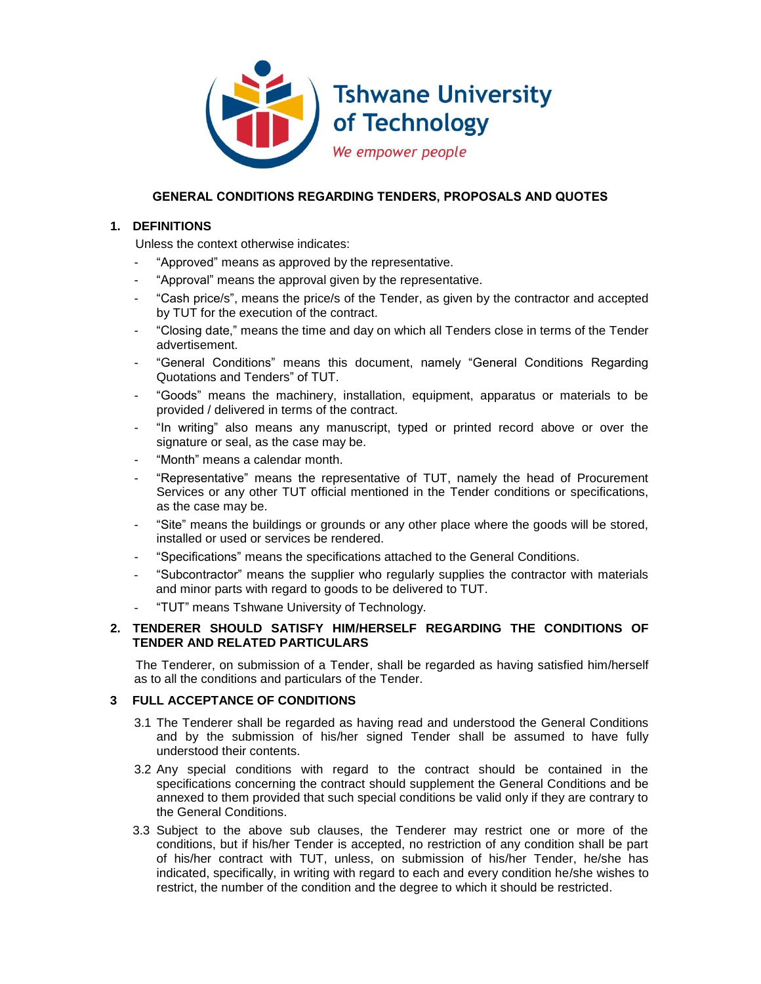

## **GENERAL CONDITIONS REGARDING TENDERS, PROPOSALS AND QUOTES**

# **1. DEFINITIONS**

Unless the context otherwise indicates:

- "Approved" means as approved by the representative.
- "Approval" means the approval given by the representative.
- "Cash price/s", means the price/s of the Tender, as given by the contractor and accepted by TUT for the execution of the contract.
- "Closing date," means the time and day on which all Tenders close in terms of the Tender advertisement.
- "General Conditions" means this document, namely "General Conditions Regarding Quotations and Tenders" of TUT.
- "Goods" means the machinery, installation, equipment, apparatus or materials to be provided / delivered in terms of the contract.
- "In writing" also means any manuscript, typed or printed record above or over the signature or seal, as the case may be.
- "Month" means a calendar month.
- "Representative" means the representative of TUT, namely the head of Procurement Services or any other TUT official mentioned in the Tender conditions or specifications, as the case may be.
- "Site" means the buildings or grounds or any other place where the goods will be stored, installed or used or services be rendered.
- "Specifications" means the specifications attached to the General Conditions.
- "Subcontractor" means the supplier who regularly supplies the contractor with materials and minor parts with regard to goods to be delivered to TUT.
- "TUT" means Tshwane University of Technology.

## **2. TENDERER SHOULD SATISFY HIM/HERSELF REGARDING THE CONDITIONS OF TENDER AND RELATED PARTICULARS**

The Tenderer, on submission of a Tender, shall be regarded as having satisfied him/herself as to all the conditions and particulars of the Tender.

### **3 FULL ACCEPTANCE OF CONDITIONS**

- 3.1 The Tenderer shall be regarded as having read and understood the General Conditions and by the submission of his/her signed Tender shall be assumed to have fully understood their contents.
- 3.2 Any special conditions with regard to the contract should be contained in the specifications concerning the contract should supplement the General Conditions and be annexed to them provided that such special conditions be valid only if they are contrary to the General Conditions.
- 3.3 Subject to the above sub clauses, the Tenderer may restrict one or more of the conditions, but if his/her Tender is accepted, no restriction of any condition shall be part of his/her contract with TUT, unless, on submission of his/her Tender, he/she has indicated, specifically, in writing with regard to each and every condition he/she wishes to restrict, the number of the condition and the degree to which it should be restricted.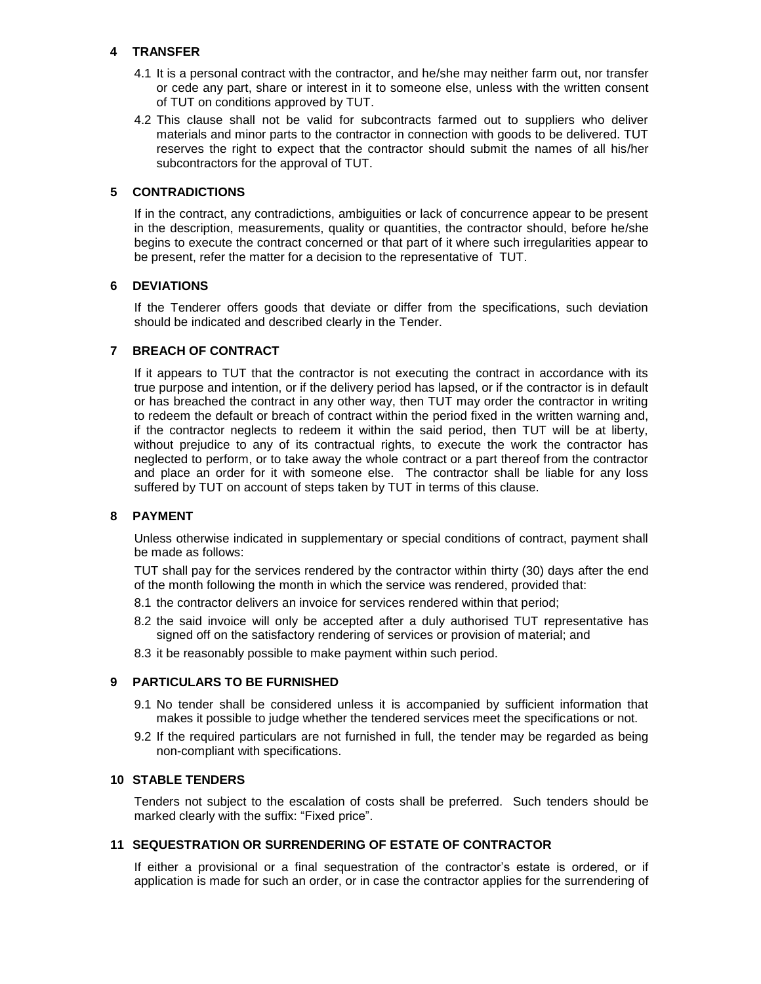### **4 TRANSFER**

- 4.1 It is a personal contract with the contractor, and he/she may neither farm out, nor transfer or cede any part, share or interest in it to someone else, unless with the written consent of TUT on conditions approved by TUT.
- 4.2 This clause shall not be valid for subcontracts farmed out to suppliers who deliver materials and minor parts to the contractor in connection with goods to be delivered. TUT reserves the right to expect that the contractor should submit the names of all his/her subcontractors for the approval of TUT.

## **5 CONTRADICTIONS**

If in the contract, any contradictions, ambiguities or lack of concurrence appear to be present in the description, measurements, quality or quantities, the contractor should, before he/she begins to execute the contract concerned or that part of it where such irregularities appear to be present, refer the matter for a decision to the representative of TUT.

## **6 DEVIATIONS**

If the Tenderer offers goods that deviate or differ from the specifications, such deviation should be indicated and described clearly in the Tender.

## **7 BREACH OF CONTRACT**

If it appears to TUT that the contractor is not executing the contract in accordance with its true purpose and intention, or if the delivery period has lapsed, or if the contractor is in default or has breached the contract in any other way, then TUT may order the contractor in writing to redeem the default or breach of contract within the period fixed in the written warning and, if the contractor neglects to redeem it within the said period, then TUT will be at liberty, without prejudice to any of its contractual rights, to execute the work the contractor has neglected to perform, or to take away the whole contract or a part thereof from the contractor and place an order for it with someone else. The contractor shall be liable for any loss suffered by TUT on account of steps taken by TUT in terms of this clause.

### **8 PAYMENT**

Unless otherwise indicated in supplementary or special conditions of contract, payment shall be made as follows:

TUT shall pay for the services rendered by the contractor within thirty (30) days after the end of the month following the month in which the service was rendered, provided that:

- 8.1 the contractor delivers an invoice for services rendered within that period;
- 8.2 the said invoice will only be accepted after a duly authorised TUT representative has signed off on the satisfactory rendering of services or provision of material; and
- 8.3 it be reasonably possible to make payment within such period.

### **9 PARTICULARS TO BE FURNISHED**

- 9.1 No tender shall be considered unless it is accompanied by sufficient information that makes it possible to judge whether the tendered services meet the specifications or not.
- 9.2 If the required particulars are not furnished in full, the tender may be regarded as being non-compliant with specifications.

### **10 STABLE TENDERS**

Tenders not subject to the escalation of costs shall be preferred. Such tenders should be marked clearly with the suffix: "Fixed price".

### **11 SEQUESTRATION OR SURRENDERING OF ESTATE OF CONTRACTOR**

If either a provisional or a final sequestration of the contractor's estate is ordered, or if application is made for such an order, or in case the contractor applies for the surrendering of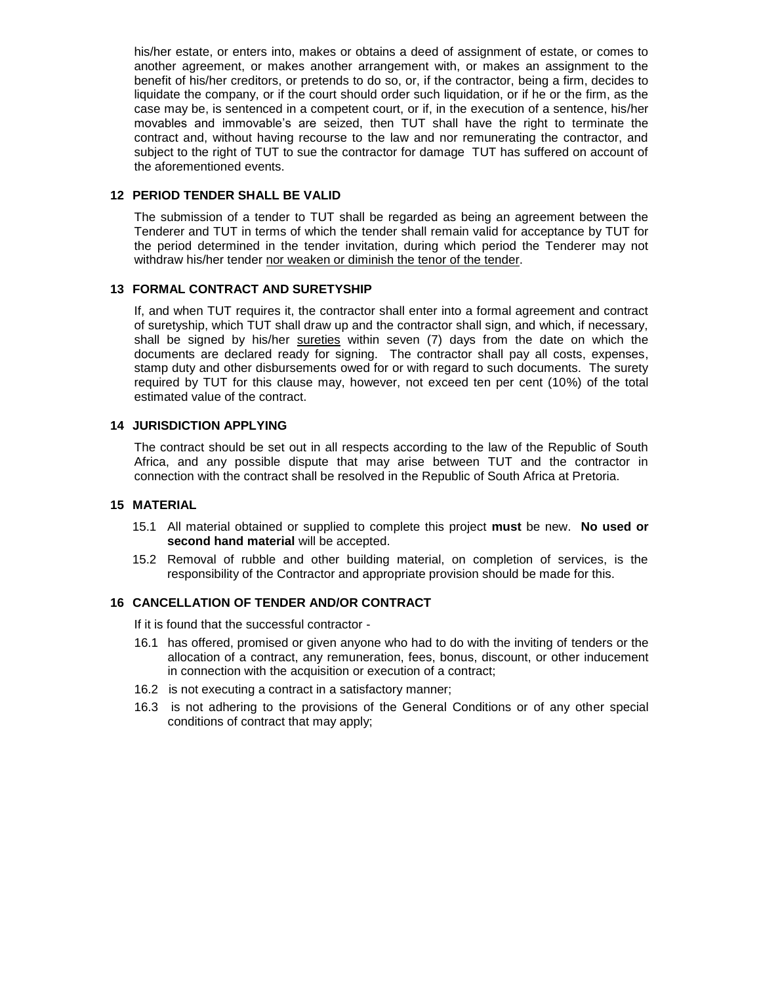his/her estate, or enters into, makes or obtains a deed of assignment of estate, or comes to another agreement, or makes another arrangement with, or makes an assignment to the benefit of his/her creditors, or pretends to do so, or, if the contractor, being a firm, decides to liquidate the company, or if the court should order such liquidation, or if he or the firm, as the case may be, is sentenced in a competent court, or if, in the execution of a sentence, his/her movables and immovable's are seized, then TUT shall have the right to terminate the contract and, without having recourse to the law and nor remunerating the contractor, and subject to the right of TUT to sue the contractor for damage TUT has suffered on account of the aforementioned events.

### **12 PERIOD TENDER SHALL BE VALID**

The submission of a tender to TUT shall be regarded as being an agreement between the Tenderer and TUT in terms of which the tender shall remain valid for acceptance by TUT for the period determined in the tender invitation, during which period the Tenderer may not withdraw his/her tender nor weaken or diminish the tenor of the tender.

#### **13 FORMAL CONTRACT AND SURETYSHIP**

If, and when TUT requires it, the contractor shall enter into a formal agreement and contract of suretyship, which TUT shall draw up and the contractor shall sign, and which, if necessary, shall be signed by his/her sureties within seven (7) days from the date on which the documents are declared ready for signing. The contractor shall pay all costs, expenses, stamp duty and other disbursements owed for or with regard to such documents. The surety required by TUT for this clause may, however, not exceed ten per cent (10%) of the total estimated value of the contract.

#### **14 JURISDICTION APPLYING**

The contract should be set out in all respects according to the law of the Republic of South Africa, and any possible dispute that may arise between TUT and the contractor in connection with the contract shall be resolved in the Republic of South Africa at Pretoria.

#### **15 MATERIAL**

- 15.1 All material obtained or supplied to complete this project **must** be new. **No used or second hand material** will be accepted.
- 15.2 Removal of rubble and other building material, on completion of services, is the responsibility of the Contractor and appropriate provision should be made for this.

## **16 CANCELLATION OF TENDER AND/OR CONTRACT**

If it is found that the successful contractor -

- 16.1 has offered, promised or given anyone who had to do with the inviting of tenders or the allocation of a contract, any remuneration, fees, bonus, discount, or other inducement in connection with the acquisition or execution of a contract;
- 16.2 is not executing a contract in a satisfactory manner;
- 16.3 is not adhering to the provisions of the General Conditions or of any other special conditions of contract that may apply;